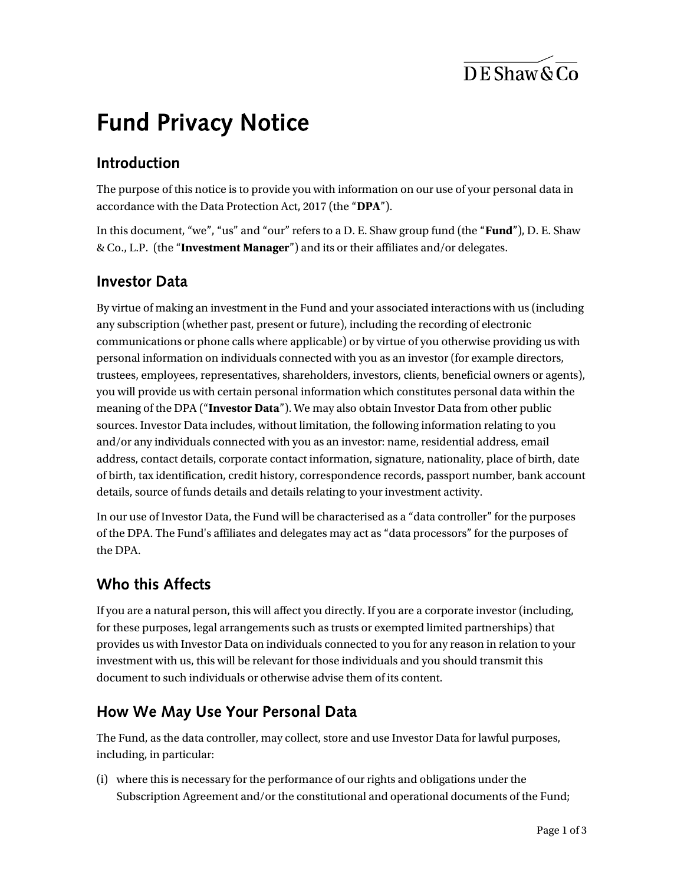$\overline{\text{DE}$  Shaw & Co

# **Fund Privacy Notice**

# Introduction

The purpose of this notice is to provide you with information on our use of your personal data in accordance with the Data Protection Act, 2017 (the "DPA").

In this document, "we", "us" and "our" refers to a D. E. Shaw group fund (the "Fund"), D. E. Shaw & Co., L.P. (the "Investment Manager") and its or their affiliates and/or delegates.

## **Investor Data**

By virtue of making an investment in the Fund and your associated interactions with us (including any subscription (whether past, present or future), including the recording of electronic communications or phone calls where applicable) or by virtue of you otherwise providing us with personal information on individuals connected with you as an investor (for example directors, trustees, employees, representatives, shareholders, investors, clients, beneficial owners or agents), you will provide us with certain personal information which constitutes personal data within the meaning of the DPA ("Investor Data"). We may also obtain Investor Data from other public sources. Investor Data includes, without limitation, the following information relating to you and/or any individuals connected with you as an investor: name, residential address, email address, contact details, corporate contact information, signature, nationality, place of birth, date of birth, tax identification, credit history, correspondence records, passport number, bank account details, source of funds details and details relating to your investment activity.

In our use of Investor Data, the Fund will be characterised as a "data controller" for the purposes of the DPA. The Fund's affiliates and delegates may act as "data processors" for the purposes of the DPA.

#### Who this Affects

If you are a natural person, this will affect you directly. If you are a corporate investor (including, for these purposes, legal arrangements such as trusts or exempted limited partnerships) that provides us with Investor Data on individuals connected to you for any reason in relation to your investment with us, this will be relevant for those individuals and you should transmit this document to such individuals or otherwise advise them of its content.

#### How We May Use Your Personal Data

The Fund, as the data controller, may collect, store and use Investor Data for lawful purposes, including, in particular:

(i) where this is necessary for the performance of our rights and obligations under the Subscription Agreement and/or the constitutional and operational documents of the Fund;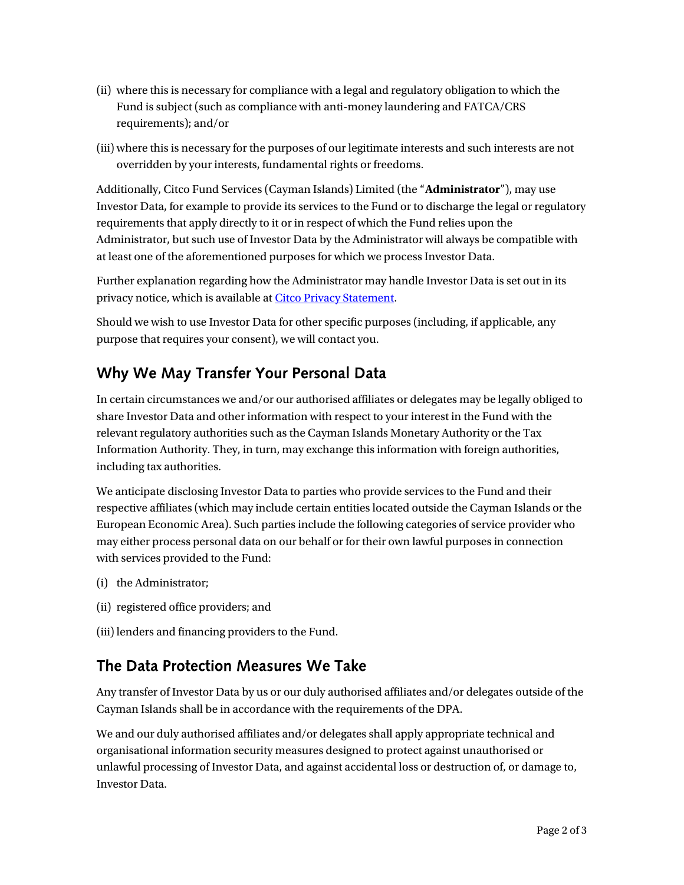- (ii) where this is necessary for compliance with a legal and regulatory obligation to which the Fund is subject (such as compliance with anti-money laundering and FATCA/CRS requirements); and/or
- (iii) where this is necessary for the purposes of our legitimate interests and such interests are not overridden by your interests, fundamental rights or freedoms.

Additionally, Citco Fund Services (Cayman Islands) Limited (the "Administrator"), may use Investor Data, for example to provide its services to the Fund or to discharge the legal or regulatory requirements that apply directly to it or in respect of which the Fund relies upon the Administrator, but such use of Investor Data by the Administrator will always be compatible with at least one of the aforementioned purposes for which we process Investor Data.

Further explanation regarding how the Administrator may handle Investor Data is set out in its privacy notice, which is available at Citco Privacy Statement.

Should we wish to use Investor Data for other specific purposes (including, if applicable, any purpose that requires your consent), we will contact you.

## Why We May Transfer Your Personal Data

In certain circumstances we and/or our authorised affiliates or delegates may be legally obliged to share Investor Data and other information with respect to your interest in the Fund with the relevant regulatory authorities such as the Cayman Islands Monetary Authority or the Tax Information Authority. They, in turn, may exchange this information with foreign authorities, including tax authorities.

We anticipate disclosing Investor Data to parties who provide services to the Fund and their respective affiliates (which may include certain entities located outside the Cayman Islands or the European Economic Area). Such parties include the following categories of service provider who may either process personal data on our behalf or for their own lawful purposes in connection with services provided to the Fund:

- (i) the Administrator;
- (ii) registered office providers; and
- (iii) lenders and financing providers to the Fund.

#### The Data Protection Measures We Take

Any transfer of Investor Data by us or our duly authorised affiliates and/or delegates outside of the Cayman Islands shall be in accordance with the requirements of the DPA.

We and our duly authorised affiliates and/or delegates shall apply appropriate technical and organisational information security measures designed to protect against unauthorised or unlawful processing of Investor Data, and against accidental loss or destruction of, or damage to, Investor Data.